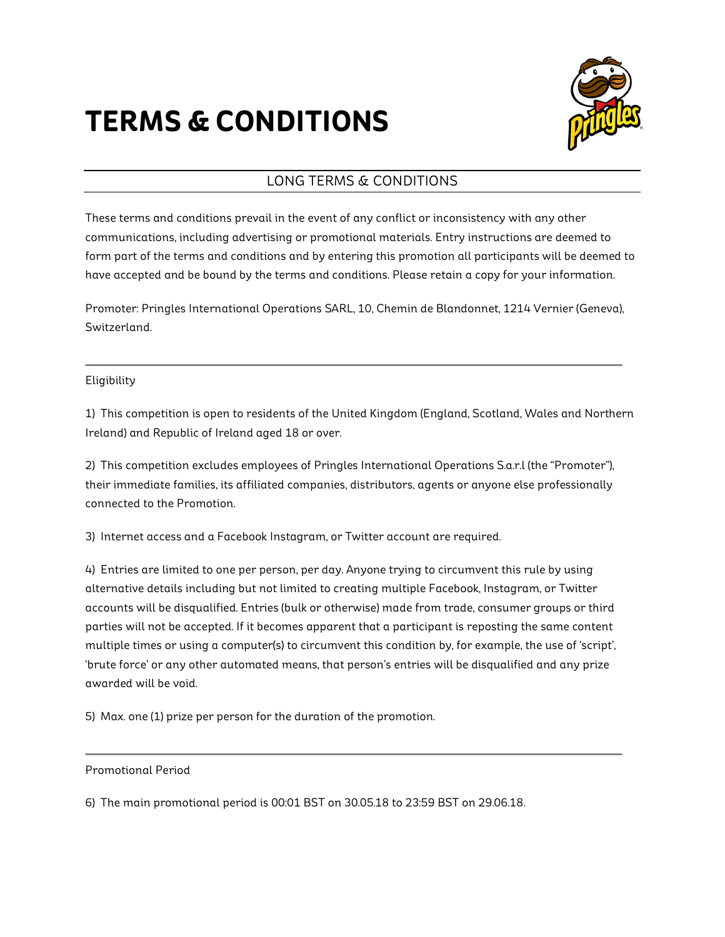# **TERMS & CONDITIONS**



l,

# LONG TERMS & CONDITIONS

These terms and conditions prevail in the event of any conflict or inconsistency with any other communications, including advertising or promotional materials. Entry instructions are deemed to form part of the terms and conditions and by entering this promotion all participants will be deemed to have accepted and be bound by the terms and conditions. Please retain a copy for your information.

Promoter: Pringles International Operations SARL, 10, Chemin de Blandonnet, 1214 Vernier (Geneva), Switzerland.

## Eligibility

1) This competition is open to residents of the United Kingdom (England, Scotland, Wales and Northern Ireland) and Republic of Ireland aged 18 or over.

2) This competition excludes employees of Pringles International Operations S.a.r.l (the "Promoter"), their immediate families, its affiliated companies, distributors, agents or anyone else professionally connected to the Promotion.

3) Internet access and a Facebook Instagram, or Twitter account are required.

4) Entries are limited to one per person, per day. Anyone trying to circumvent this rule by using alternative details including but not limited to creating multiple Facebook, Instagram, or Twitter accounts will be disqualified. Entries (bulk or otherwise) made from trade, consumer groups or third parties will not be accepted. If it becomes apparent that a participant is reposting the same content multiple times or using a computer(s) to circumvent this condition by, for example, the use of 'script', 'brute force' or any other automated means, that person's entries will be disqualified and any prize awarded will be void.

5) Max. one (1) prize per person for the duration of the promotion.

Promotional Period

6) The main promotional period is 00:01 BST on 30.05.18 to 23:59 BST on 29.06.18.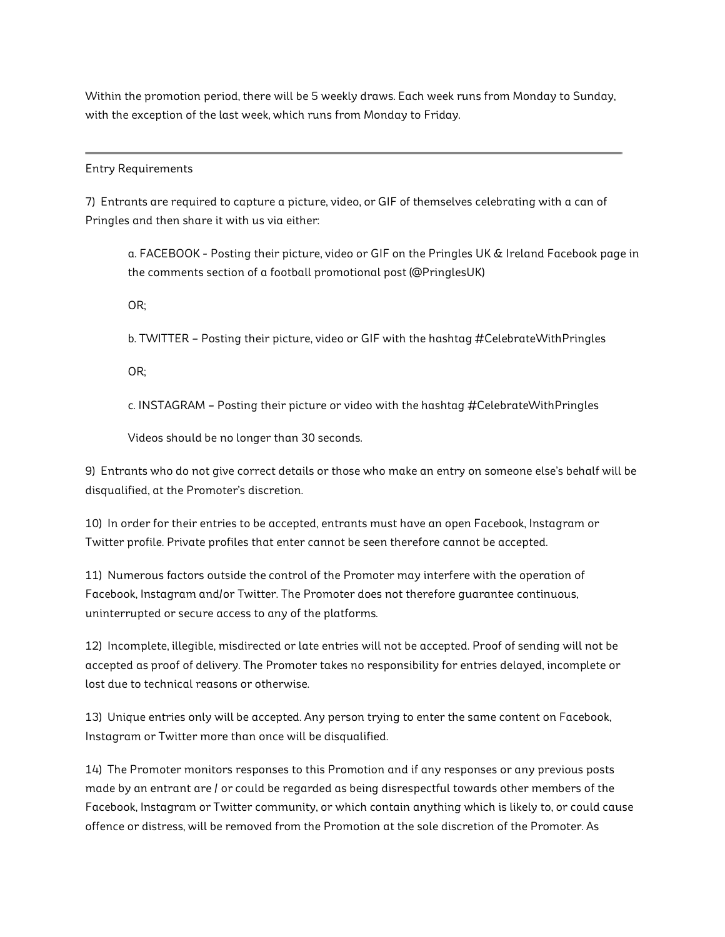Within the promotion period, there will be 5 weekly draws. Each week runs from Monday to Sunday, with the exception of the last week, which runs from Monday to Friday.

#### Entry Requirements

7) Entrants are required to capture a picture, video, or GIF of themselves celebrating with a can of Pringles and then share it with us via either:

a. FACEBOOK - Posting their picture, video or GIF on the Pringles UK & Ireland Facebook page in the comments section of a football promotional post (@PringlesUK)

l,

OR;

b. TWITTER – Posting their picture, video or GIF with the hashtag #CelebrateWithPringles

OR;

c. INSTAGRAM – Posting their picture or video with the hashtag #CelebrateWithPringles

Videos should be no longer than 30 seconds.

9) Entrants who do not give correct details or those who make an entry on someone else's behalf will be disqualified, at the Promoter's discretion.

10) In order for their entries to be accepted, entrants must have an open Facebook, Instagram or Twitter profile. Private profiles that enter cannot be seen therefore cannot be accepted.

11) Numerous factors outside the control of the Promoter may interfere with the operation of Facebook, Instagram and/or Twitter. The Promoter does not therefore guarantee continuous, uninterrupted or secure access to any of the platforms.

12) Incomplete, illegible, misdirected or late entries will not be accepted. Proof of sending will not be accepted as proof of delivery. The Promoter takes no responsibility for entries delayed, incomplete or lost due to technical reasons or otherwise.

13) Unique entries only will be accepted. Any person trying to enter the same content on Facebook, Instagram or Twitter more than once will be disqualified.

14) The Promoter monitors responses to this Promotion and if any responses or any previous posts made by an entrant are / or could be regarded as being disrespectful towards other members of the Facebook, Instagram or Twitter community, or which contain anything which is likely to, or could cause offence or distress, will be removed from the Promotion at the sole discretion of the Promoter. As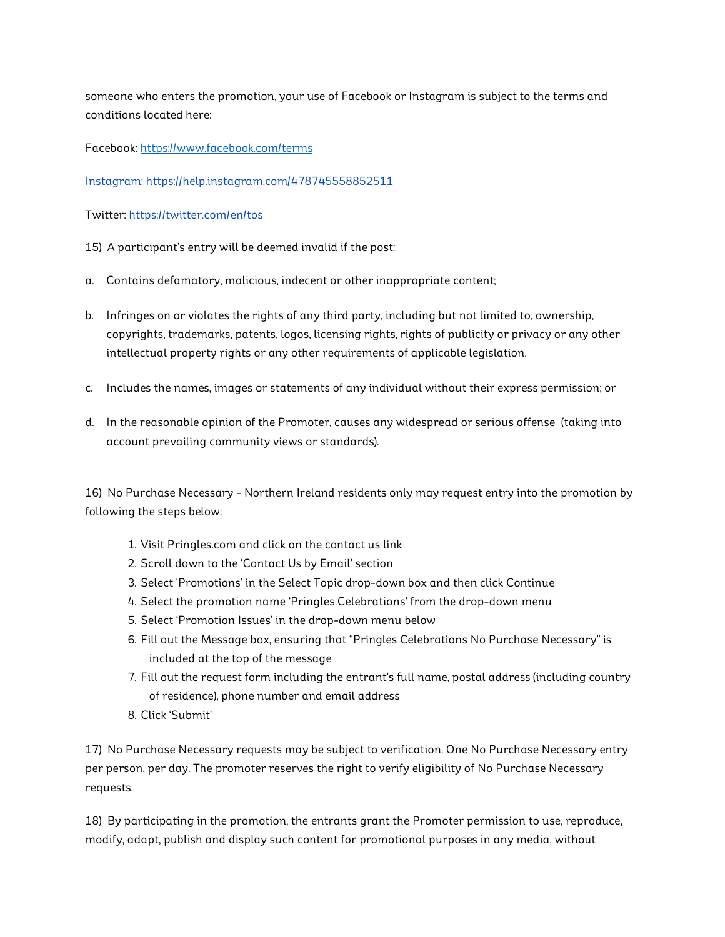someone who enters the promotion, your use of Facebook or Instagram is subject to the terms and conditions located here:

Facebook: https://www.facebook.com/terms

Instagram: https://help.instagram.com/478745558852511

Twitter: https://twitter.com/en/tos

15) A participant's entry will be deemed invalid if the post:

- a. Contains defamatory, malicious, indecent or other inappropriate content;
- b. Infringes on or violates the rights of any third party, including but not limited to, ownership, copyrights, trademarks, patents, logos, licensing rights, rights of publicity or privacy or any other intellectual property rights or any other requirements of applicable legislation.
- c. Includes the names, images or statements of any individual without their express permission; or
- d. In the reasonable opinion of the Promoter, causes any widespread or serious offense (taking into account prevailing community views or standards).

16) No Purchase Necessary - Northern Ireland residents only may request entry into the promotion by following the steps below:

- 1. Visit Pringles.com and click on the contact us link
- 2. Scroll down to the 'Contact Us by Email' section
- 3. Select 'Promotions' in the Select Topic drop-down box and then click Continue
- 4. Select the promotion name 'Pringles Celebrations' from the drop-down menu
- 5. Select 'Promotion Issues' in the drop-down menu below
- 6. Fill out the Message box, ensuring that "Pringles Celebrations No Purchase Necessary" is included at the top of the message
- 7. Fill out the request form including the entrant's full name, postal address (including country of residence), phone number and email address
- 8. Click 'Submit'

17) No Purchase Necessary requests may be subject to verification. One No Purchase Necessary entry per person, per day. The promoter reserves the right to verify eligibility of No Purchase Necessary requests.

18) By participating in the promotion, the entrants grant the Promoter permission to use, reproduce, modify, adapt, publish and display such content for promotional purposes in any media, without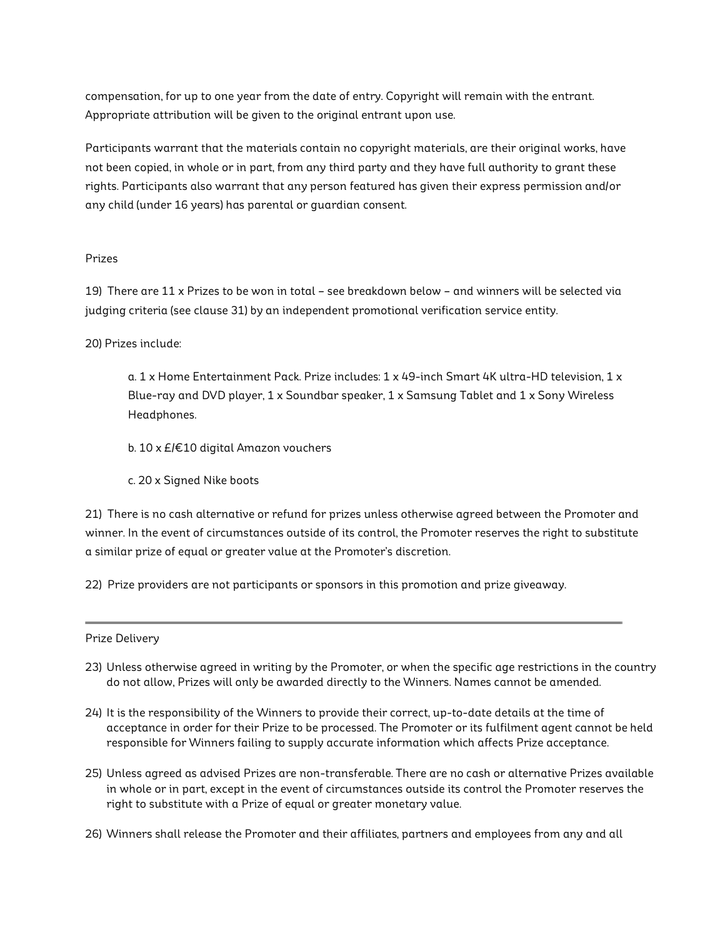compensation, for up to one year from the date of entry. Copyright will remain with the entrant. Appropriate attribution will be given to the original entrant upon use.

Participants warrant that the materials contain no copyright materials, are their original works, have not been copied, in whole or in part, from any third party and they have full authority to grant these rights. Participants also warrant that any person featured has given their express permission and/or any child (under 16 years) has parental or guardian consent.

#### Prizes

19) There are 11 x Prizes to be won in total – see breakdown below – and winners will be selected via judging criteria (see clause 31) by an independent promotional verification service entity.

#### 20) Prizes include:

a. 1 x Home Entertainment Pack. Prize includes: 1 x 49-inch Smart 4K ultra-HD television, 1 x Blue-ray and DVD player,  $1 \times$  Soundbar speaker,  $1 \times$  Samsung Tablet and  $1 \times$  Sony Wireless Headphones.

- b. 10 x £/€10 digital Amazon vouchers
- c. 20 x Signed Nike boots

21) There is no cash alternative or refund for prizes unless otherwise agreed between the Promoter and winner. In the event of circumstances outside of its control, the Promoter reserves the right to substitute a similar prize of equal or greater value at the Promoter's discretion.

22) Prize providers are not participants or sponsors in this promotion and prize giveaway.

#### Prize Delivery

23) Unless otherwise agreed in writing by the Promoter, or when the specific age restrictions in the country do not allow, Prizes will only be awarded directly to the Winners. Names cannot be amended.

l,

- 24) It is the responsibility of the Winners to provide their correct, up-to-date details at the time of acceptance in order for their Prize to be processed. The Promoter or its fulfilment agent cannot be held responsible for Winners failing to supply accurate information which affects Prize acceptance.
- 25) Unless agreed as advised Prizes are non-transferable. There are no cash or alternative Prizes available in whole or in part, except in the event of circumstances outside its control the Promoter reserves the right to substitute with a Prize of equal or greater monetary value.
- 26) Winners shall release the Promoter and their affiliates, partners and employees from any and all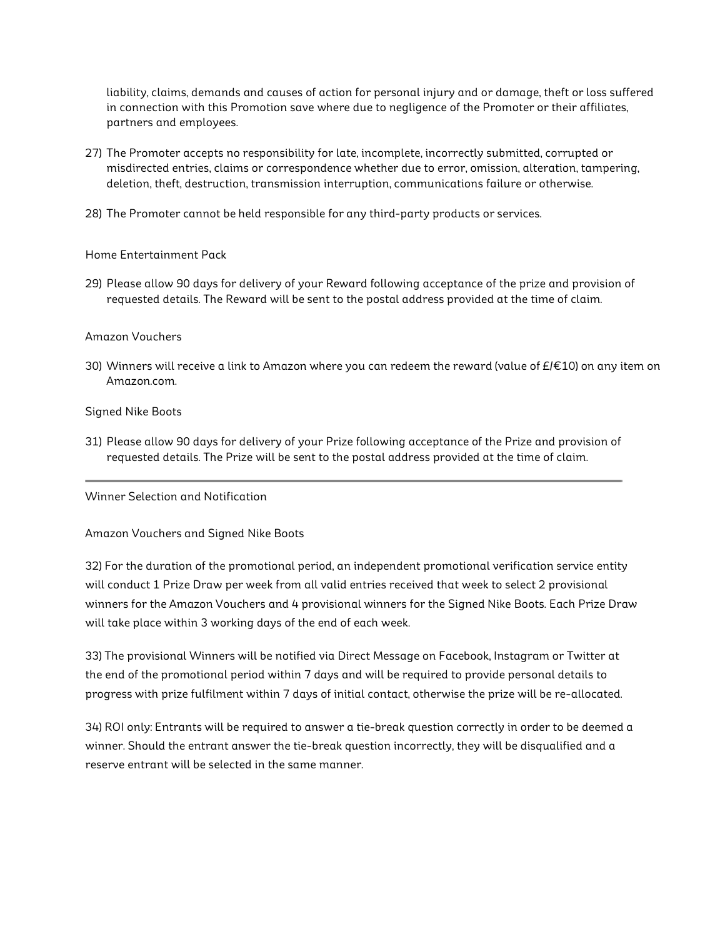liability, claims, demands and causes of action for personal injury and or damage, theft or loss suffered in connection with this Promotion save where due to negligence of the Promoter or their affiliates, partners and employees.

- 27) The Promoter accepts no responsibility for late, incomplete, incorrectly submitted, corrupted or misdirected entries, claims or correspondence whether due to error, omission, alteration, tampering, deletion, theft, destruction, transmission interruption, communications failure or otherwise.
- 28) The Promoter cannot be held responsible for any third-party products or services.

Home Entertainment Pack

29) Please allow 90 days for delivery of your Reward following acceptance of the prize and provision of requested details. The Reward will be sent to the postal address provided at the time of claim.

#### Amazon Vouchers

30) Winners will receive a link to Amazon where you can redeem the reward (value of  $E/\epsilon 10$ ) on any item on Amazon.com.

l,

Signed Nike Boots

31) Please allow 90 days for delivery of your Prize following acceptance of the Prize and provision of requested details. The Prize will be sent to the postal address provided at the time of claim.

Winner Selection and Notification

Amazon Vouchers and Signed Nike Boots

32) For the duration of the promotional period, an independent promotional verification service entity will conduct 1 Prize Draw per week from all valid entries received that week to select 2 provisional winners for the Amazon Vouchers and 4 provisional winners for the Signed Nike Boots. Each Prize Draw will take place within 3 working days of the end of each week.

33) The provisional Winners will be notified via Direct Message on Facebook, Instagram or Twitter at the end of the promotional period within 7 days and will be required to provide personal details to progress with prize fulfilment within 7 days of initial contact, otherwise the prize will be re-allocated.

34) ROI only: Entrants will be required to answer a tie-break question correctly in order to be deemed a winner. Should the entrant answer the tie-break question incorrectly, they will be disqualified and a reserve entrant will be selected in the same manner.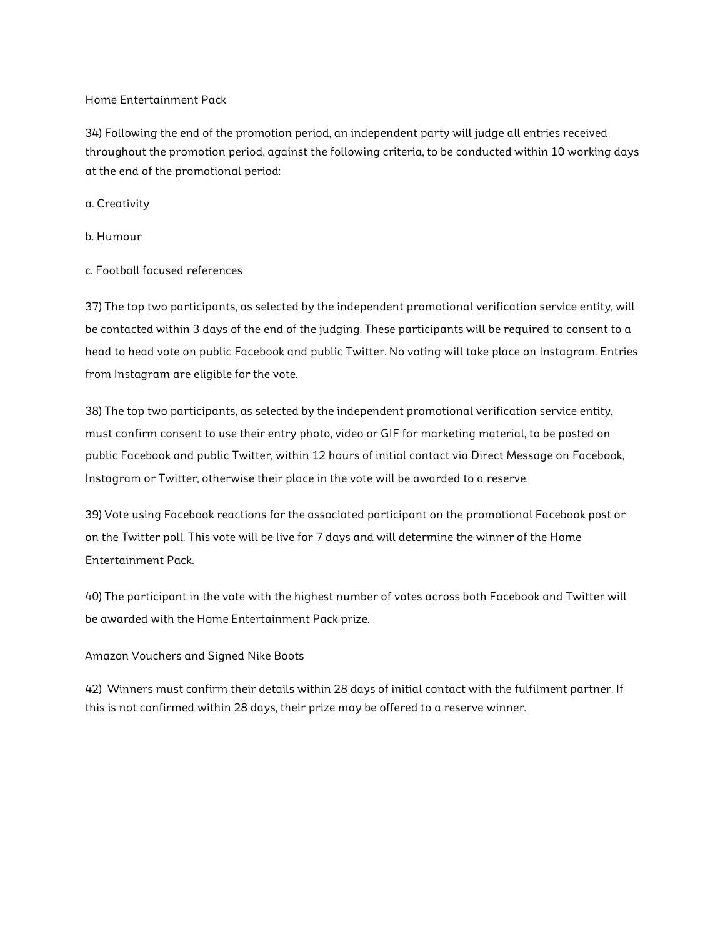#### Home Entertainment Pack

34) Following the end of the promotion period, an independent party will judge all entries received throughout the promotion period, against the following criteria, to be conducted within 10 working days at the end of the promotional period:

#### a. Creativity

- b. Humour
- c. Football focused references

37) The top two participants, as selected by the independent promotional verification service entity, will be contacted within 3 days of the end of the judging. These participants will be required to consent to a head to head vote on public Facebook and public Twitter. No voting will take place on Instagram. Entries from Instagram are eligible for the vote.

38) The top two participants, as selected by the independent promotional verification service entity, must confirm consent to use their entry photo, video or GIF for marketing material, to be posted on public Facebook and public Twitter, within 12 hours of initial contact via Direct Message on Facebook, Instagram or Twitter, otherwise their place in the vote will be awarded to a reserve.

39) Vote using Facebook reactions for the associated participant on the promotional Facebook post or on the Twitter poll. This vote will be live for 7 days and will determine the winner of the Home Entertainment Pack.

40) The participant in the vote with the highest number of votes across both Facebook and Twitter will be awarded with the Home Entertainment Pack prize.

## Amazon Vouchers and Signed Nike Boots

42) Winners must confirm their details within 28 days of initial contact with the fulfilment partner. If this is not confirmed within 28 days, their prize may be offered to a reserve winner.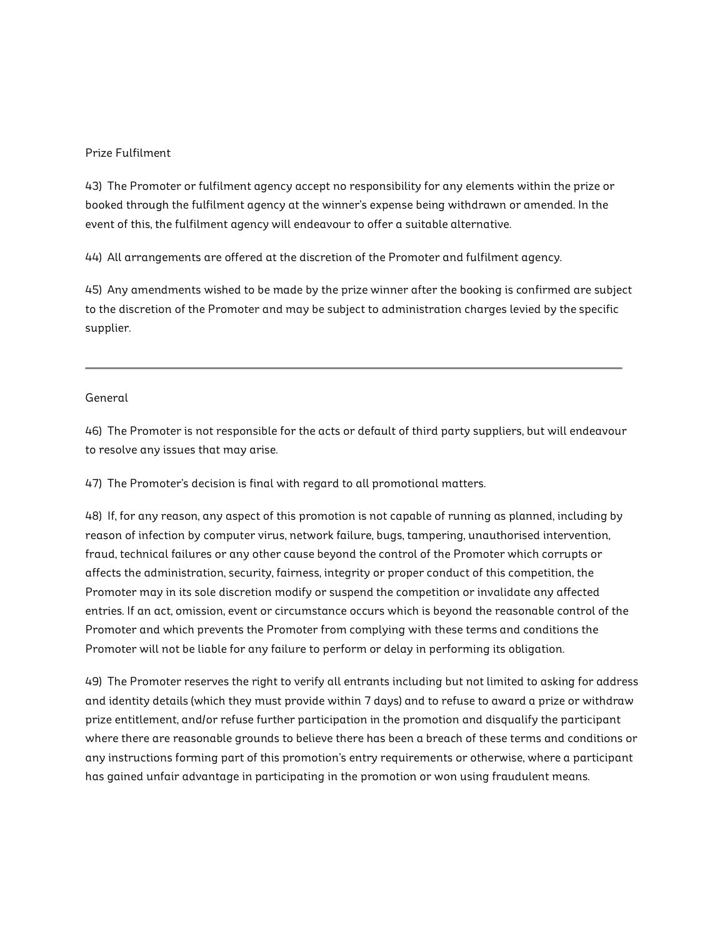#### Prize Fulfilment

43) The Promoter or fulfilment agency accept no responsibility for any elements within the prize or booked through the fulfilment agency at the winner's expense being withdrawn or amended. In the event of this, the fulfilment agency will endeavour to offer a suitable alternative.

44) All arrangements are offered at the discretion of the Promoter and fulfilment agency.

45) Any amendments wished to be made by the prize winner after the booking is confirmed are subject to the discretion of the Promoter and may be subject to administration charges levied by the specific supplier.

i.

#### General

46) The Promoter is not responsible for the acts or default of third party suppliers, but will endeavour to resolve any issues that may arise.

47) The Promoter's decision is final with regard to all promotional matters.

48) If, for any reason, any aspect of this promotion is not capable of running as planned, including by reason of infection by computer virus, network failure, bugs, tampering, unauthorised intervention, fraud, technical failures or any other cause beyond the control of the Promoter which corrupts or affects the administration, security, fairness, integrity or proper conduct of this competition, the Promoter may in its sole discretion modify or suspend the competition or invalidate any affected entries. If an act, omission, event or circumstance occurs which is beyond the reasonable control of the Promoter and which prevents the Promoter from complying with these terms and conditions the Promoter will not be liable for any failure to perform or delay in performing its obligation.

49) The Promoter reserves the right to verify all entrants including but not limited to asking for address and identity details (which they must provide within 7 days) and to refuse to award a prize or withdraw prize entitlement, and/or refuse further participation in the promotion and disqualify the participant where there are reasonable grounds to believe there has been a breach of these terms and conditions or any instructions forming part of this promotion's entry requirements or otherwise, where a participant has gained unfair advantage in participating in the promotion or won using fraudulent means.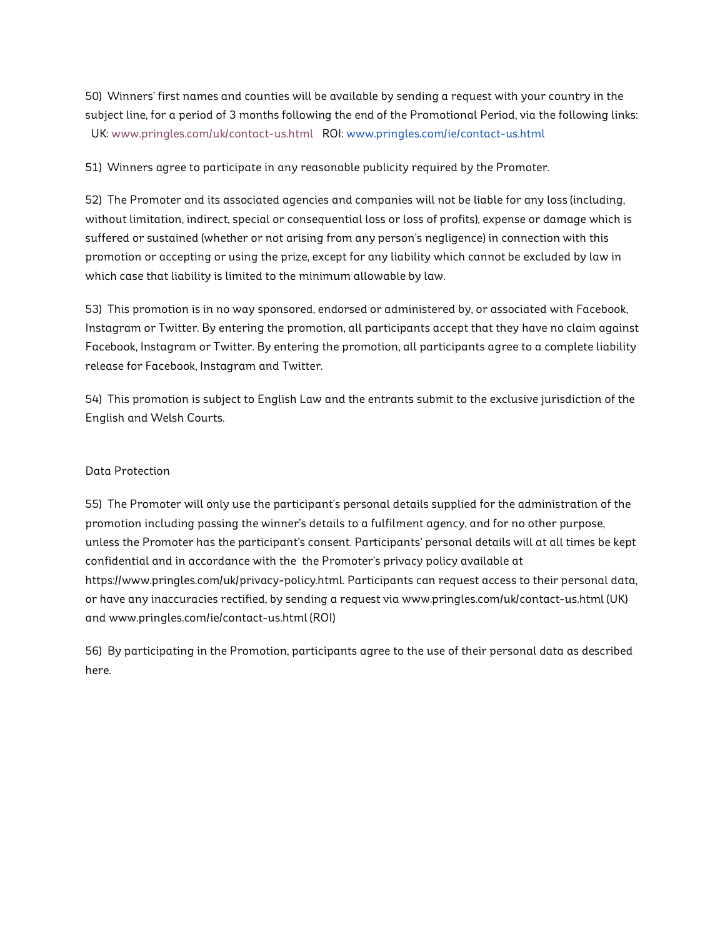50) Winners' first names and counties will be available by sending a request with your country in the subject line, for a period of 3 months following the end of the Promotional Period, via the following links: UK: www.pringles.com/uk/contact-us.html ROI: www.pringles.com/ie/contact-us.html

51) Winners agree to participate in any reasonable publicity required by the Promoter.

52) The Promoter and its associated agencies and companies will not be liable for any loss (including, without limitation, indirect, special or consequential loss or loss of profits), expense or damage which is suffered or sustained (whether or not arising from any person's negligence) in connection with this promotion or accepting or using the prize, except for any liability which cannot be excluded by law in which case that liability is limited to the minimum allowable by law.

53) This promotion is in no way sponsored, endorsed or administered by, or associated with Facebook, Instagram or Twitter. By entering the promotion, all participants accept that they have no claim against Facebook, Instagram or Twitter. By entering the promotion, all participants agree to a complete liability release for Facebook, Instagram and Twitter.

54) This promotion is subject to English Law and the entrants submit to the exclusive jurisdiction of the English and Welsh Courts.

#### Data Protection

55) The Promoter will only use the participant's personal details supplied for the administration of the promotion including passing the winner's details to a fulfilment agency, and for no other purpose, unless the Promoter has the participant's consent. Participants' personal details will at all times be kept confidential and in accordance with the the Promoter's privacy policy available at https://www.pringles.com/uk/privacy-policy.html. Participants can request access to their personal data, or have any inaccuracies rectified, by sending a request via www.pringles.com/uk/contact-us.html (UK) and www.pringles.com/ie/contact-us.html (ROI)

56) By participating in the Promotion, participants agree to the use of their personal data as described here.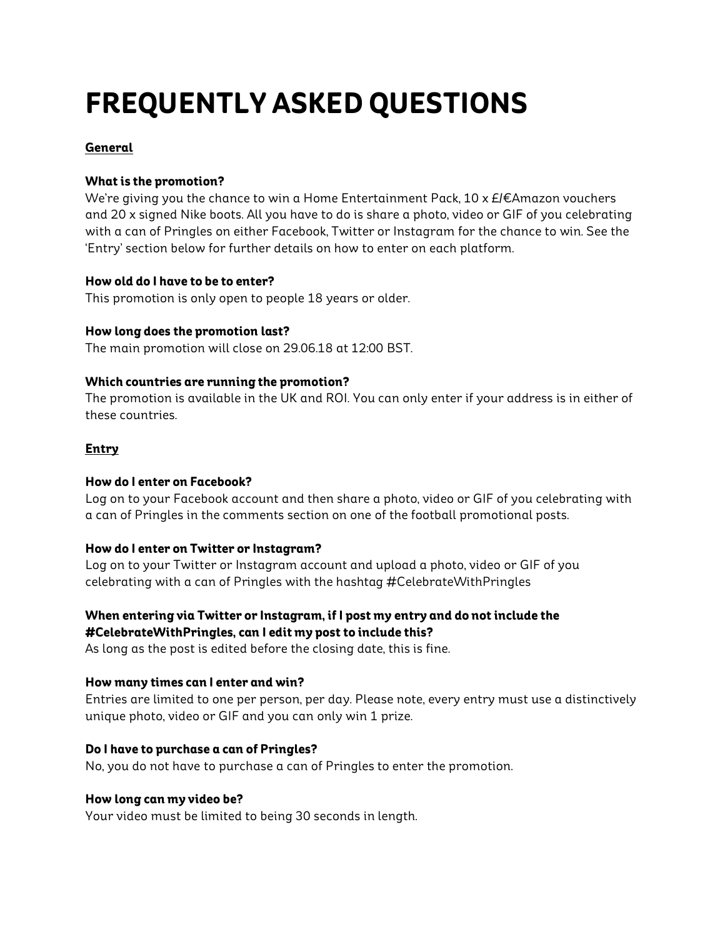# **FREQUENTLY ASKED QUESTIONS**

# **General**

# **What is the promotion?**

We're giving you the chance to win a Home Entertainment Pack, 10 x  $E/E$ Amazon vouchers and 20 x signed Nike boots. All you have to do is share a photo, video or GIF of you celebrating with a can of Pringles on either Facebook, Twitter or Instagram for the chance to win. See the 'Entry' section below for further details on how to enter on each platform.

# **How old do I have to be to enter?**

This promotion is only open to people 18 years or older.

# **How long does the promotion last?**

The main promotion will close on 29.06.18 at 12:00 BST.

# **Which countries are running the promotion?**

The promotion is available in the UK and ROI. You can only enter if your address is in either of these countries.

# **Entry**

## **How do I enter on Facebook?**

Log on to your Facebook account and then share a photo, video or GIF of you celebrating with a can of Pringles in the comments section on one of the football promotional posts.

## **How do I enter on Twitter or Instagram?**

Log on to your Twitter or Instagram account and upload a photo, video or GIF of you celebrating with a can of Pringles with the hashtag #CelebrateWithPringles

# **When entering via Twitter or Instagram, if I post my entry and do not include the #CelebrateWithPringles, can I edit my post to include this?**

As long as the post is edited before the closing date, this is fine.

# **How many times can I enter and win?**

Entries are limited to one per person, per day. Please note, every entry must use a distinctively unique photo, video or GIF and you can only win 1 prize.

# **Do I have to purchase a can of Pringles?**

No, you do not have to purchase a can of Pringles to enter the promotion.

## **How long can my video be?**

Your video must be limited to being 30 seconds in length.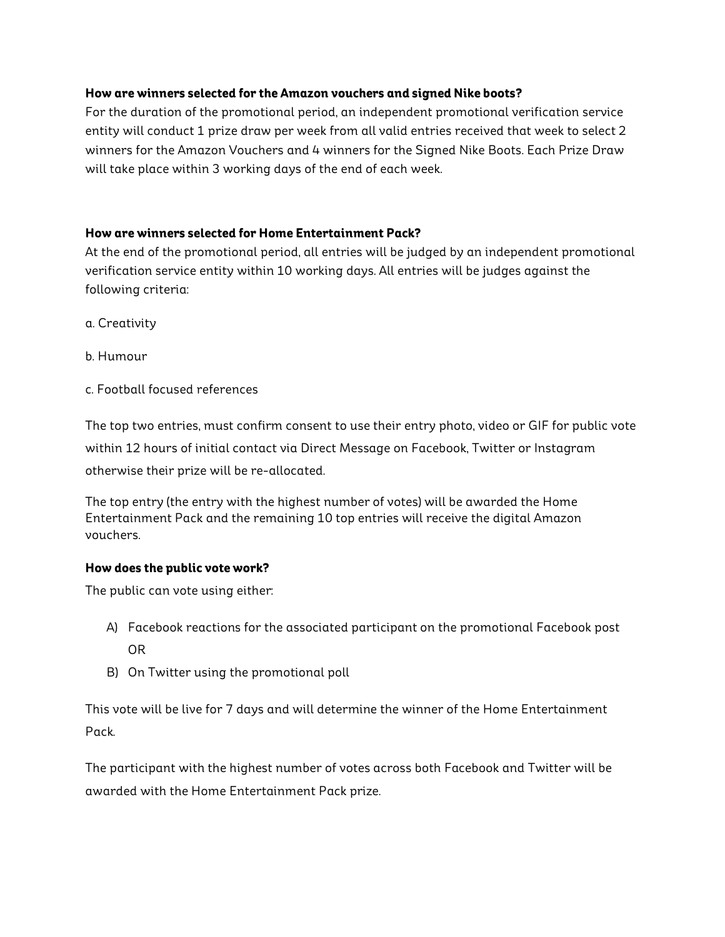## **How are winners selected for the Amazon vouchers and signed Nike boots?**

For the duration of the promotional period, an independent promotional verification service entity will conduct 1 prize draw per week from all valid entries received that week to select 2 winners for the Amazon Vouchers and 4 winners for the Signed Nike Boots. Each Prize Draw will take place within 3 working days of the end of each week.

## **How are winners selected for Home Entertainment Pack?**

At the end of the promotional period, all entries will be judged by an independent promotional verification service entity within 10 working days. All entries will be judges against the following criteria:

- a. Creativity
- b. Humour
- c. Football focused references

The top two entries, must confirm consent to use their entry photo, video or GIF for public vote within 12 hours of initial contact via Direct Message on Facebook, Twitter or Instagram otherwise their prize will be re-allocated.

The top entry (the entry with the highest number of votes) will be awarded the Home Entertainment Pack and the remaining 10 top entries will receive the digital Amazon vouchers.

## **How does the public vote work?**

The public can vote using either:

- A) Facebook reactions for the associated participant on the promotional Facebook post OR
- B) On Twitter using the promotional poll

This vote will be live for 7 days and will determine the winner of the Home Entertainment Pack.

The participant with the highest number of votes across both Facebook and Twitter will be awarded with the Home Entertainment Pack prize.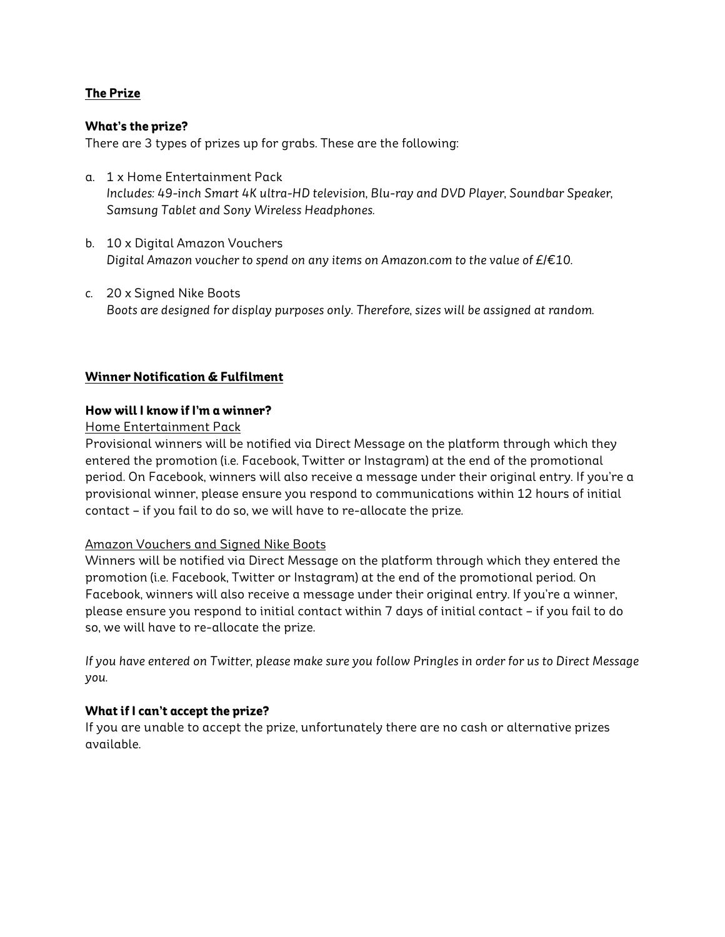# **The Prize**

## **What's the prize?**

There are 3 types of prizes up for grabs. These are the following:

- a. 1 x Home Entertainment Pack *Includes: 49-inch Smart 4K ultra-HD television, Blu-ray and DVD Player, Soundbar Speaker, Samsung Tablet and Sony Wireless Headphones.*
- b. 10 x Digital Amazon Vouchers *Digital Amazon voucher to spend on any items on Amazon.com to the value of £/€10.*
- *c.* 20 x Signed Nike Boots *Boots are designed for display purposes only. Therefore, sizes will be assigned at random.*

## **Winner Notification & Fulfilment**

## **How will I know if I'm a winner?**

## Home Entertainment Pack

Provisional winners will be notified via Direct Message on the platform through which they entered the promotion (i.e. Facebook, Twitter or Instagram) at the end of the promotional period. On Facebook, winners will also receive a message under their original entry. If you're a provisional winner, please ensure you respond to communications within 12 hours of initial contact – if you fail to do so, we will have to re-allocate the prize.

## Amazon Vouchers and Signed Nike Boots

Winners will be notified via Direct Message on the platform through which they entered the promotion (i.e. Facebook, Twitter or Instagram) at the end of the promotional period. On Facebook, winners will also receive a message under their original entry. If you're a winner, please ensure you respond to initial contact within 7 days of initial contact – if you fail to do so, we will have to re-allocate the prize.

*If you have entered on Twitter, please make sure you follow Pringles in order for us to Direct Message you.* 

## **What if I can't accept the prize?**

If you are unable to accept the prize, unfortunately there are no cash or alternative prizes available.